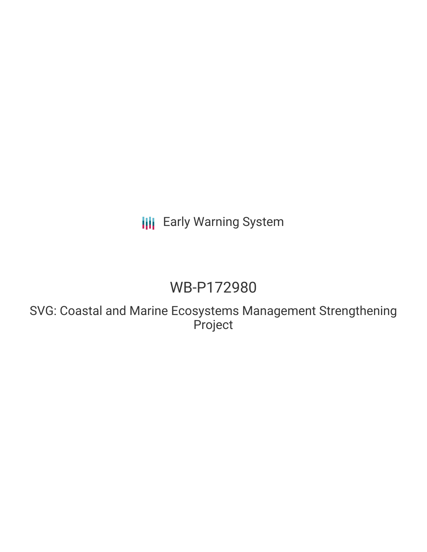## **III** Early Warning System

# WB-P172980

SVG: Coastal and Marine Ecosystems Management Strengthening Project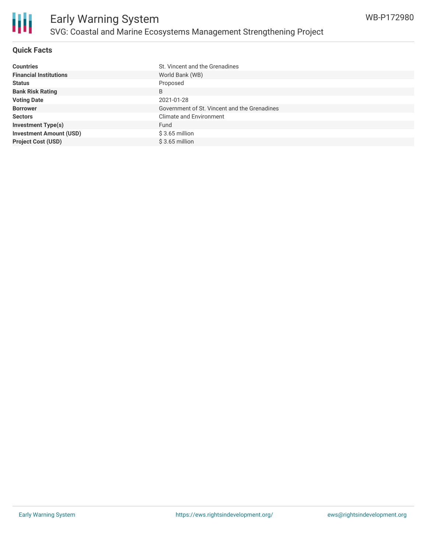

### **Quick Facts**

| <b>Countries</b>               | St. Vincent and the Grenadines               |
|--------------------------------|----------------------------------------------|
| <b>Financial Institutions</b>  | World Bank (WB)                              |
| <b>Status</b>                  | Proposed                                     |
| <b>Bank Risk Rating</b>        | B                                            |
| <b>Voting Date</b>             | 2021-01-28                                   |
| <b>Borrower</b>                | Government of St. Vincent and the Grenadines |
| <b>Sectors</b>                 | <b>Climate and Environment</b>               |
| <b>Investment Type(s)</b>      | Fund                                         |
| <b>Investment Amount (USD)</b> | $$3.65$ million                              |
| <b>Project Cost (USD)</b>      | $$3.65$ million                              |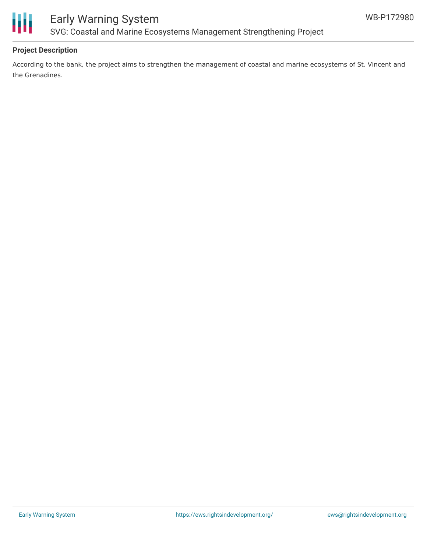

### Early Warning System SVG: Coastal and Marine Ecosystems Management Strengthening Project

### **Project Description**

According to the bank, the project aims to strengthen the management of coastal and marine ecosystems of St. Vincent and the Grenadines.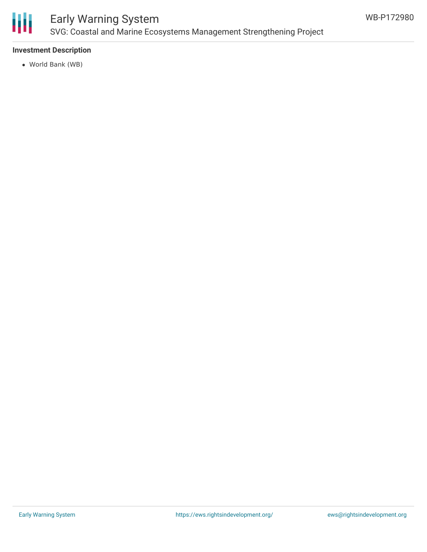

### Early Warning System SVG: Coastal and Marine Ecosystems Management Strengthening Project

### **Investment Description**

World Bank (WB)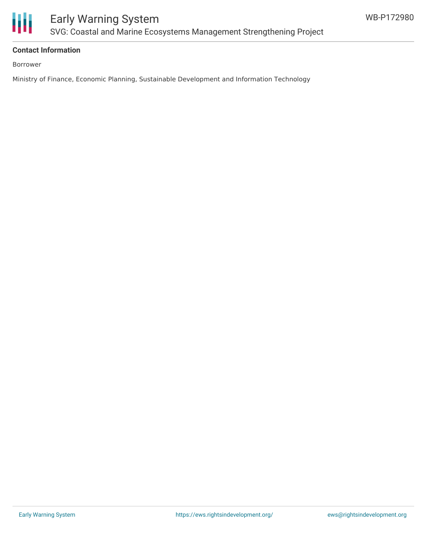

### **Contact Information**

Borrower

Ministry of Finance, Economic Planning, Sustainable Development and Information Technology